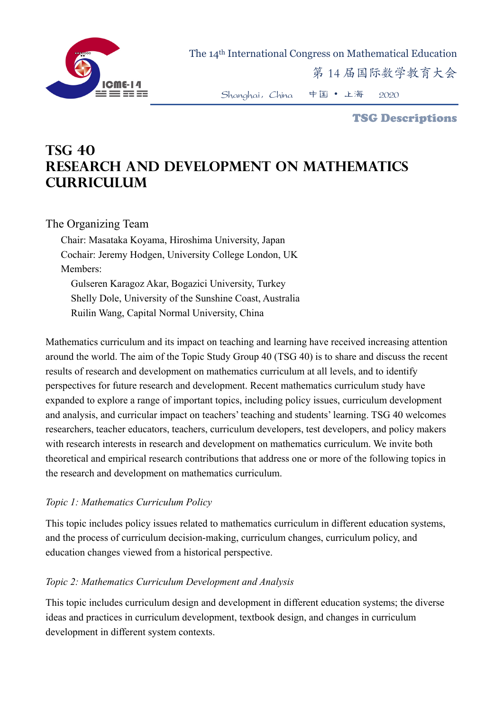

The 14th International Congress on Mathematical Education

第 14 届国际数学教育大会

Shanghai,China 中国 • 上海 2020

TSG Descriptions

# **TSG 40 RESEARCH AND DEVELOPMENT ON MATHEMATICS CURRICULUM**

# The Organizing Team

Chair: Masataka Koyama, Hiroshima University, Japan Cochair: Jeremy Hodgen, University College London, UK Members:

 Gulseren Karagoz Akar, Bogazici University, Turkey Shelly Dole, University of the Sunshine Coast, Australia Ruilin Wang, Capital Normal University, China

Mathematics curriculum and its impact on teaching and learning have received increasing attention around the world. The aim of the Topic Study Group 40 (TSG 40) is to share and discuss the recent results of research and development on mathematics curriculum at all levels, and to identify perspectives for future research and development. Recent mathematics curriculum study have expanded to explore a range of important topics, including policy issues, curriculum development and analysis, and curricular impact on teachers' teaching and students' learning. TSG 40 welcomes researchers, teacher educators, teachers, curriculum developers, test developers, and policy makers with research interests in research and development on mathematics curriculum. We invite both theoretical and empirical research contributions that address one or more of the following topics in the research and development on mathematics curriculum.

## *Topic 1: Mathematics Curriculum Policy*

This topic includes policy issues related to mathematics curriculum in different education systems, and the process of curriculum decision-making, curriculum changes, curriculum policy, and education changes viewed from a historical perspective.

#### *Topic 2: Mathematics Curriculum Development and Analysis*

This topic includes curriculum design and development in different education systems; the diverse ideas and practices in curriculum development, textbook design, and changes in curriculum development in different system contexts.